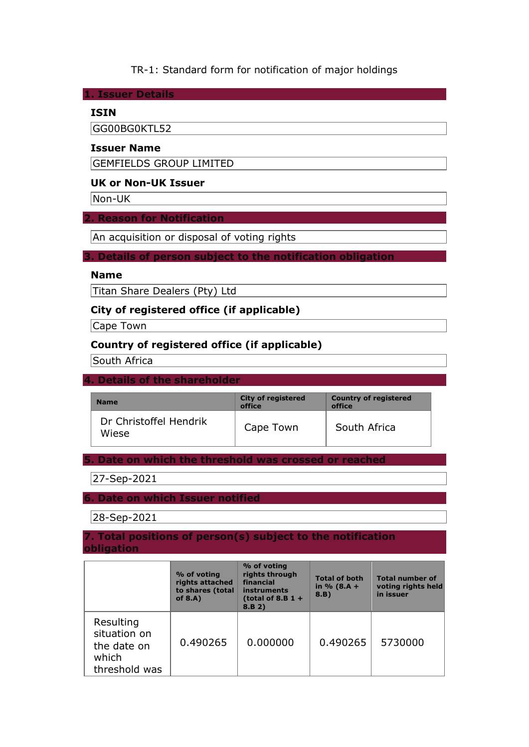### TR-1: Standard form for notification of major holdings

**1. Issuer Details** 

### **ISIN**

GG00BG0KTL52

### **Issuer Name**

GEMFIELDS GROUP LIMITED

## **UK or Non-UK Issuer**

Non-UK

#### **2. Reason for Notification**

An acquisition or disposal of voting rights

#### **3. Details of person subject to the notification obligation**

### **Name**

Titan Share Dealers (Pty) Ltd

### **City of registered office (if applicable)**

Cape Town

## **Country of registered office (if applicable)**

South Africa

#### **4. Details of the shareholder**

| <b>Name</b>                     | <b>City of registered</b><br>office | <b>Country of registered</b><br>office |
|---------------------------------|-------------------------------------|----------------------------------------|
| Dr Christoffel Hendrik<br>Wiese | Cape Town                           | South Africa                           |

**5. Date on which the threshold was crossed or reached** 

27-Sep-2021

### **6. Date on which Issuer notified**

28-Sep-2021

#### **7. Total positions of person(s) subject to the notification obligation**

|                                                                    | % of voting<br>rights attached<br>to shares (total<br>of $8.A$ ) | % of voting<br>rights through<br>financial<br>instruments<br>(total of 8.B $1 +$<br>8.B 2) | <b>Total of both</b><br>in $% (8.A +$<br>8.B) | <b>Total number of</b><br>voting rights held<br>in issuer |
|--------------------------------------------------------------------|------------------------------------------------------------------|--------------------------------------------------------------------------------------------|-----------------------------------------------|-----------------------------------------------------------|
| Resulting<br>situation on<br>the date on<br>which<br>threshold was | 0.490265                                                         | 0.000000                                                                                   | 0.490265                                      | 5730000                                                   |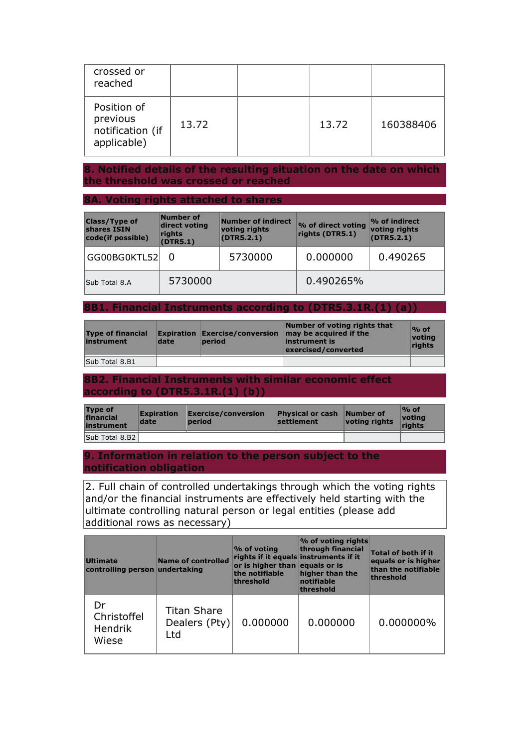| crossed or<br>reached                                      |       |       |           |
|------------------------------------------------------------|-------|-------|-----------|
| Position of<br>previous<br>notification (if<br>applicable) | 13.72 | 13.72 | 160388406 |

### **8. Notified details of the resulting situation on the date on which the threshold was crossed or reached**

### **8A. Voting rights attached to shares**

| <b>Class/Type of</b><br>shares ISIN<br>code(if possible) | Number of<br>direct voting<br>rights<br>(DTR5.1) | <b>Number of indirect</b><br>voting rights<br>(DTR5.2.1) | % of direct voting<br>rights (DTR5.1) | $\mathcal V$ of indirect<br>voting rights<br>(DTR5.2.1) |
|----------------------------------------------------------|--------------------------------------------------|----------------------------------------------------------|---------------------------------------|---------------------------------------------------------|
| GG00BG0KTL52                                             |                                                  | 5730000                                                  | 0.000000                              | 0.490265                                                |
| Sub Total 8.A                                            | 5730000                                          |                                                          | 0.490265%                             |                                                         |

#### **8B1. Financial Instruments according to (DTR5.3.1R.(1) (a))**

| <b>Type of financial</b><br>instrument | date | <b>Expiration Exercise/conversion</b><br>period | Number of voting rights that<br>may be acquired if the<br>linstrument is<br>exercised/converted | $\%$ of<br>voting<br>rights |
|----------------------------------------|------|-------------------------------------------------|-------------------------------------------------------------------------------------------------|-----------------------------|
| Sub Total 8.B1                         |      |                                                 |                                                                                                 |                             |

### **8B2. Financial Instruments with similar economic effect according to (DTR5.3.1R.(1) (b))**

| Type of<br>financial<br>instrument | <b>Expiration</b><br>date | Exercise/conversion<br><b>period</b> | <b>Physical or cash Number of</b><br><b>settlement</b> | voting rights | $\%$ of<br>votina<br>rights |
|------------------------------------|---------------------------|--------------------------------------|--------------------------------------------------------|---------------|-----------------------------|
| Sub Total 8.B2                     |                           |                                      |                                                        |               |                             |

#### **9. Information in relation to the person subject to the notification obligation**

2. Full chain of controlled undertakings through which the voting rights and/or the financial instruments are effectively held starting with the ultimate controlling natural person or legal entities (please add additional rows as necessary)

| <b>Ultimate</b><br>controlling person undertaking | <b>Name of controlled</b>                  | $\%$ of voting<br>rights if it equals instruments if it<br>or is higher than equals or is<br>the notifiable<br>threshold | % of voting rights<br>through financial<br>higher than the<br>notifiable<br>threshold | <b>Total of both if it</b><br>equals or is higher<br>than the notifiable<br>threshold |
|---------------------------------------------------|--------------------------------------------|--------------------------------------------------------------------------------------------------------------------------|---------------------------------------------------------------------------------------|---------------------------------------------------------------------------------------|
| Dr<br>Christoffel<br><b>Hendrik</b><br>Wiese      | <b>Titan Share</b><br>Dealers (Pty)<br>Ltd | 0.000000                                                                                                                 | 0.000000                                                                              | 0.000000%                                                                             |